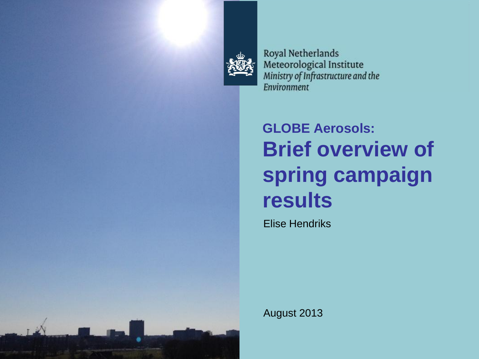

Royal Netherlands Meteorological Institute<br>Ministry of Infrastructure and the **Environment** 

# **GLOBE Aerosols: Brief overview of spring campaign results**

Elise Hendriks

August 2013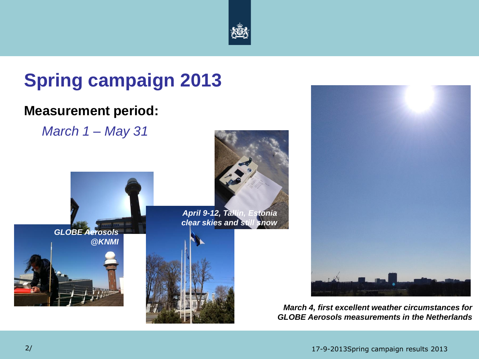

# **Spring campaign 2013**

### **Measurement period:**

*March 1 – May 31*

*April 9-12, Tallin, Estonia clear skies and still snow*





*March 4, first excellent weather circumstances for GLOBE Aerosols measurements in the Netherlands*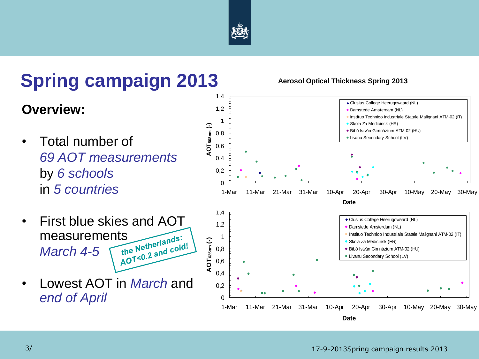

# **Spring campaign 2013**

# **Overview:**

- Total number of *69 AOT measurements*  by *6 schools* in *5 countries*
- First blue skies and AOT measurements<br>March 4-5 The Netherlands: *March 4-5*
- Lowest AOT in *March* and *end of April*

### **Aerosol Optical Thickness Spring 2013**

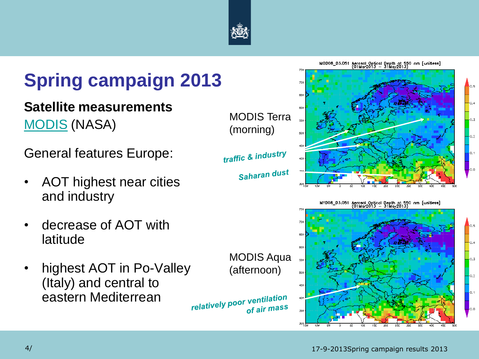

(morning)

# **Spring campaign 2013**

# **Satellite measurements** [MODIS](modis.gsfc.nasa.gov/‎) (NASA)

General features Europe:

- AOT highest near cities and industry
- decrease of AOT with latitude
- highest AOT in Po-Valley (Italy) and central to eastern Mediterrean

MODIS Aqua (afternoon)

relatively poor ventilation of air mass

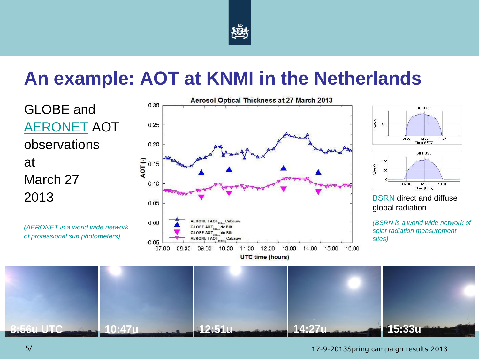

# **An example: AOT at KNMI in the Netherlands**

GLOBE and [AERONET](http://aeronet.gsfc.nasa.gov/) AOT observations at March 27 2013

*(AERONET is a world wide network of professional sun photometers)*







[BSRN](http://www.knmi.nl/bsrn/) direct and diffuse global radiation

*(BSRN is a world wide network of solar radiation measurement sites)*

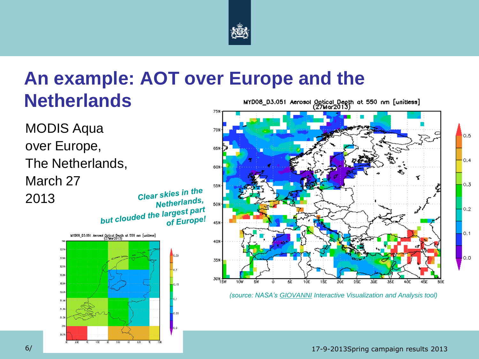

### **An example: AOT over Europe and the Netherlands** MYD08\_D3.051 Aerosol Optical Depth at 550 nm [unitless]<br>(27Mar2013)



6/ 17-9-2013Spring campaign results 2013

 $0.5$ 

 $0.4$ 

 $\Diamond$ , 3

 $0,2$ 

 $0.1$ 

 $0.0$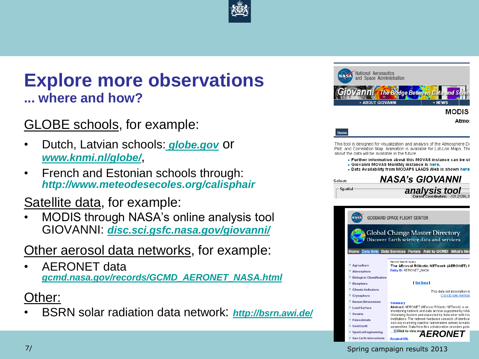# **Explore more observations ... where and how?**

# GLOBE schools, for example:

- Dutch, Latvian schools: *globe.gov* or *[www.knmi.nl/globe/](http://www.knmi.nl/globe/)*,
- French and Estonian schools through: *http://www.meteodesecoles.org/calisphair*

## Satellite data, for example:

• MODIS through NASA's online analysis tool GIOVANNI: *disc.sci.gsfc.nasa.gov/giovanni/*

## Other aerosol data networks, for example:

• AERONET data *[gcmd.nasa.gov/records/GCMD\\_AERONET\\_NASA.html](http://gcmd.nasa.gov/records/GCMD_AERONET_NASA.html)*

### Other:

• BSRN solar radiation data network: *<http://bsrn.awi.de/>*



**National Aeronautics** and Space Administration

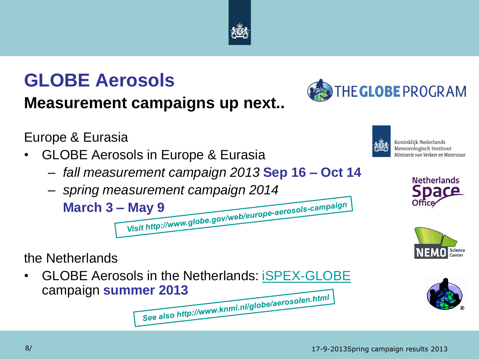**GLOBE Aerosols**

**Measurement campaigns up next..**

Europe & Eurasia

- GLOBE Aerosols in Europe & Eurasia
	- *fall measurement campaign 2013* **Sep 16 – Oct 14**
	- *spring measurement campaign 2014* March 3 – May 9<br>Visit http://www.globe.gov/web/europe-aerosols-campaign

the Netherlands

• GLOBE Aerosols in the Netherlands: [iSPEX-GLOBE](http://www.knmi.nl/globe/meetcampagne_ispex.html) campaign summer 2013<br> **Campaign Summer 2013**